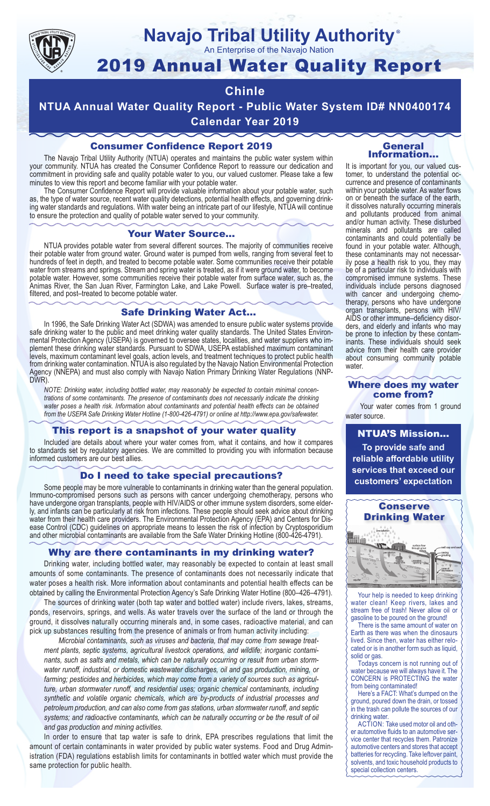

# **Navajo Tribal Utility Authority**

An Enterprise of the Navajo Nation

# 2019 Annual Water Quality Report

# **Chinle**

**NTUA Annual Water Quality Report - Public Water System ID# NN0400174 Calendar Year 2019**

## Consumer Confidence Report 2019

The Navajo Tribal Utility Authority (NTUA) operates and maintains the public water system within your community. NTUA has created the Consumer Confidence Report to reassure our dedication and commitment in providing safe and quality potable water to you, our valued customer. Please take a few minutes to view this report and become familiar with your potable water.

The Consumer Confidence Report will provide valuable information about your potable water, such as, the type of water source, recent water quality detections, potential health effects, and governing drinking water standards and regulations. With water being an intricate part of our lifestyle, NTUA will continue to ensure the protection and quality of potable water served to your community.

#### Your Water Source…

NTUA provides potable water from several different sources. The majority of communities receive their potable water from ground water. Ground water is pumped from wells, ranging from several feet to hundreds of feet in depth, and treated to become potable water. Some communities receive their potable water from streams and springs. Stream and spring water is treated, as if it were ground water, to become potable water. However, some communities receive their potable water from surface water, such as, the Animas River, the San Juan River, Farmington Lake, and Lake Powell. Surface water is pre–treated, filtered, and post–treated to become potable water.

#### Safe Drinking Water Act…

In 1996, the Safe Drinking Water Act (SDWA) was amended to ensure public water systems provide safe drinking water to the public and meet drinking water quality standards. The United States Environmental Protection Agency (USEPA) is governed to oversee states, localities, and water suppliers who implement these drinking water standards. Pursuant to SDWA, USEPA established maximum contaminant levels, maximum contaminant level goals, action levels, and treatment techniques to protect public health from drinking water contamination. NTUA is also regulated by the Navajo Nation Environmental Protection Agency (NNEPA) and must also comply with Navajo Nation Primary Drinking Water Regulations (NNP-DWR)

*NOTE: Drinking water, including bottled water, may reasonably be expected to contain minimal concentrations of some contaminants. The presence of contaminants does not necessarily indicate the drinking water poses a health risk. Information about contaminants and potential health effects can be obtained from the USEPA Safe Drinking Water Hotline (1-800-426-4791) or online at http://www.epa.gov/safewater.*

### This report is a snapshot of your water quality

Included are details about where your water comes from, what it contains, and how it compares to standards set by regulatory agencies. We are committed to providing you with information because informed customers are our best allies.

#### Do I need to take special precautions?

Some people may be more vulnerable to contaminants in drinking water than the general population. Immuno-compromised persons such as persons with cancer undergoing chemotherapy, persons who have undergone organ transplants, people with HIV/AIDS or other immune system disorders, some elderly, and infants can be particularly at risk from infections. These people should seek advice about drinking water from their health care providers. The Environmental Protection Agency (EPA) and Centers for Disease Control (CDC) guidelines on appropriate means to lessen the risk of infection by Cryptosporidium and other microbial contaminants are available from the Safe Water Drinking Hotline (800-426-4791).

### Why are there contaminants in my drinking water?

Drinking water, including bottled water, may reasonably be expected to contain at least small amounts of some contaminants. The presence of contaminants does not necessarily indicate that water poses a health risk. More information about contaminants and potential health effects can be obtained by calling the Environmental Protection Agency's Safe Drinking Water Hotline (800–426–4791).

The sources of drinking water (both tap water and bottled water) include rivers, lakes, streams, ponds, reservoirs, springs, and wells. As water travels over the surface of the land or through the ground, it dissolves naturally occurring minerals and, in some cases, radioactive material, and can pick up substances resulting from the presence of animals or from human activity including:

*Microbial contaminants, such as viruses and bacteria, that may come from sewage treatment plants, septic systems, agricultural livestock operations, and wildlife; inorganic contaminants, such as salts and metals, which can be naturally occurring or result from urban stormwater runoff, industrial, or domestic wastewater discharges, oil and gas production, mining, or farming; pesticides and herbicides, which may come from a variety of sources such as agriculture, urban stormwater runoff, and residential uses; organic chemical contaminants, including synthetic and volatile organic chemicals, which are by-products of industrial processes and petroleum production, and can also come from gas stations, urban stormwater runoff, and septic systems; and radioactive contaminants, which can be naturally occurring or be the result of oil and gas production and mining activities.*

In order to ensure that tap water is safe to drink, EPA prescribes regulations that limit the amount of certain contaminants in water provided by public water systems. Food and Drug Administration (FDA) regulations establish limits for contaminants in bottled water which must provide the same protection for public health.

#### General Information…

®

It is important for you, our valued customer, to understand the potential occurrence and presence of contaminants within your potable water. As water flows on or beneath the surface of the earth, it dissolves naturally occurring minerals and pollutants produced from animal and/or human activity. These disturbed minerals and pollutants are called contaminants and could potentially be found in your potable water. Although, these contaminants may not necessarily pose a health risk to you, they may be of a particular risk to individuals with compromised immune systems. These individuals include persons diagnosed with cancer and undergoing chemo-<br>therapy, persons who have undergone organ transplants, persons with HIV/ AIDS or other immune–deficiency disor- ders, and elderly and infants who may be prone to infection by these contam- inants. These individuals should seek advice from their health care provider about consuming community potable water.

#### Where does my water come from?

Your water comes from 1 ground water source.

NTUA'S Mission... **To provide safe and reliable affordable utility services that exceed our customers' expectation**



Your help is needed to keep drinking water clean! Keep rivers, lakes and stream free of trash! Never allow oil or gasoline to be poured on the ground!

There is the same amount of water on Earth as there was when the dinosaurs lived. Since then, water has either relocated or is in another form such as liquid, solid or gas.

Todays concern is not running out of water because we will always have it. The CONCERN is PROTECTING the water from being contaminated!

Here's a FACT: What's dumped on the ground, poured down the drain, or tossed in the trash can pollute the sources of our drinking water.

ACTION: Take used motor oil and other automotive fluids to an automotive service center that recycles them. Patronize automotive centers and stores that accept batteries for recycling. Take leftover paint, solvents, and toxic household products to special collection centers.